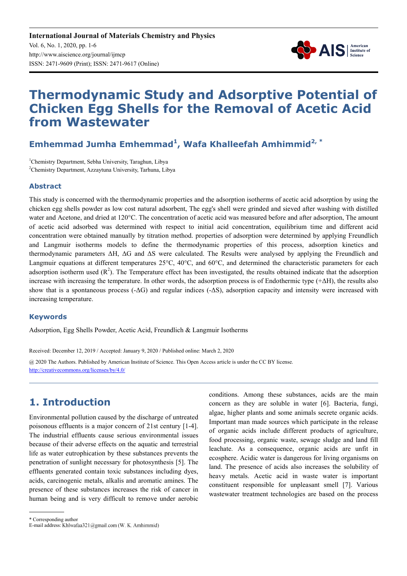

# **Thermodynamic Study and Adsorptive Potential of Chicken Egg Shells for the Removal of Acetic Acid from Wastewater**

### **Emhemmad Jumha Emhemmad<sup>1</sup> , Wafa Khalleefah Amhimmid2, \***

<sup>1</sup>Chemistry Department, Sebha University, Taraghun, Libya <sup>2</sup>Chemistry Department, Azzaytuna University, Tarhuna, Libya

### **Abstract**

This study is concerned with the thermodynamic properties and the adsorption isotherms of acetic acid adsorption by using the chicken egg shells powder as low cost natural adsorbent, The egg's shell were grinded and sieved after washing with distilled water and Acetone, and dried at 120°C. The concentration of acetic acid was measured before and after adsorption, The amount of acetic acid adsorbed was determined with respect to initial acid concentration, equilibrium time and different acid concentration were obtained manually by titration method. properties of adsorption were determined by applying Freundlich and Langmuir isotherms models to define the thermodynamic properties of this process, adsorption kinetics and thermodynamic parameters ∆H, ∆G and ∆S were calculated. The Results were analysed by applying the Freundlich and Langmuir equations at different temperatures 25°C, 40°C, and 60°C, and determined the characteristic parameters for each adsorption isotherm used  $(R^2)$ . The Temperature effect has been investigated, the results obtained indicate that the adsorption increase with increasing the temperature. In other words, the adsorption process is of Endothermic type (+∆H), the results also show that is a spontaneous process (-∆G) and regular indices (- $\Delta S$ ), adsorption capacity and intensity were increased with increasing temperature.

### **Keywords**

Adsorption, Egg Shells Powder, Acetic Acid, Freundlich & Langmuir Isotherms

Received: December 12, 2019 / Accepted: January 9, 2020 / Published online: March 2, 2020 @ 2020 The Authors. Published by American Institute of Science. This Open Access article is under the CC BY license. http://creativecommons.org/licenses/by/4.0/

# **1. Introduction**

Environmental pollution caused by the discharge of untreated poisonous effluents is a major concern of 21st century [1-4]. The industrial effluents cause serious environmental issues because of their adverse effects on the aquatic and terrestrial life as water eutrophication by these substances prevents the penetration of sunlight necessary for photosynthesis [5]. The effluents generated contain toxic substances including dyes, acids, carcinogenic metals, alkalis and aromatic amines. The presence of these substances increases the risk of cancer in human being and is very difficult to remove under aerobic conditions. Among these substances, acids are the main concern as they are soluble in water [6]. Bacteria, fungi, algae, higher plants and some animals secrete organic acids. Important man made sources which participate in the release of organic acids include different products of agriculture, food processing, organic waste, sewage sludge and land fill leachate. As a consequence, organic acids are unfit in ecosphere. Acidic water is dangerous for living organisms on land. The presence of acids also increases the solubility of heavy metals. Acetic acid in waste water is important constituent responsible for unpleasant smell [7]. Various wastewater treatment technologies are based on the process

\* Corresponding author

E-mail address: Khlwafaa321@gmail.com (W. K. Amhimmid)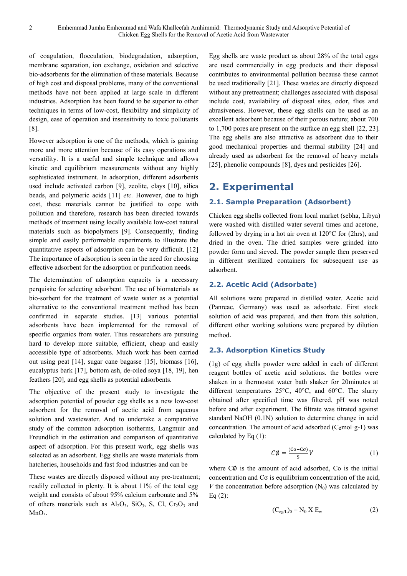of coagulation, flocculation, biodegradation, adsorption, membrane separation, ion exchange, oxidation and selective bio-adsorbents for the elimination of these materials. Because of high cost and disposal problems, many of the conventional methods have not been applied at large scale in different industries. Adsorption has been found to be superior to other techniques in terms of low-cost, flexibility and simplicity of design, ease of operation and insensitivity to toxic pollutants [8].

However adsorption is one of the methods, which is gaining more and more attention because of its easy operations and versatility. It is a useful and simple technique and allows kinetic and equilibrium measurements without any highly sophisticated instrument. In adsorption, different adsorbents used include activated carbon [9], zeolite, clays [10], silica beads, and polymeric acids [11] *etc.* However, due to high cost, these materials cannot be justified to cope with pollution and therefore, research has been directed towards methods of treatment using locally available low-cost natural materials such as biopolymers [9]. Consequently, finding simple and easily performable experiments to illustrate the quantitative aspects of adsorption can be very difficult. [12] The importance of adsorption is seen in the need for choosing effective adsorbent for the adsorption or purification needs.

The determination of adsorption capacity is a necessary perquisite for selecting adsorbent. The use of biomaterials as bio-sorbent for the treatment of waste water as a potential alternative to the conventional treatment method has been confirmed in separate studies. [13] various potential adsorbents have been implemented for the removal of specific organics from water. Thus researchers are pursuing hard to develop more suitable, efficient, cheap and easily accessible type of adsorbents. Much work has been carried out using peat [14], sugar cane bagasse [15], biomass [16], eucalyptus bark [17], bottom ash, de-oiled soya [18, 19], hen feathers [20], and egg shells as potential adsorbents.

The objective of the present study to investigate the adsorption potential of powder egg shells as a new low-cost adsorbent for the removal of acetic acid from aqueous solution and wastewater. And to undertake a comparative study of the common adsorption isotherms, Langmuir and Freundlich in the estimation and comparison of quantitative aspect of adsorption. For this present work, egg shells was selected as an adsorbent. Egg shells are waste materials from hatcheries, households and fast food industries and can be

These wastes are directly disposed without any pre-treatment; readily collected in plenty. It is about 11% of the total egg weight and consists of about 95% calcium carbonate and 5% of others materials such as  $Al_2O_3$ ,  $SiO_3$ , S, Cl,  $Cr_2O_3$  and  $MnO<sub>3</sub>$ .

Egg shells are waste product as about 28% of the total eggs are used commercially in egg products and their disposal contributes to environmental pollution because these cannot be used traditionally [21]. These wastes are directly disposed without any pretreatment; challenges associated with disposal include cost, availability of disposal sites, odor, flies and abrasiveness. However, these egg shells can be used as an excellent adsorbent because of their porous nature; about 700 to 1,700 pores are present on the surface an egg shell [22, 23]. The egg shells are also attractive as adsorbent due to their good mechanical properties and thermal stability [24] and already used as adsorbent for the removal of heavy metals [25], phenolic compounds [8], dyes and pesticides [26].

# **2. Experimental**

### **2.1. Sample Preparation (Adsorbent)**

Chicken egg shells collected from local market (sebha, Libya) were washed with distilled water several times and acetone, followed by drying in a hot air oven at 120°C for (2hrs), and dried in the oven. The dried samples were grinded into powder form and sieved. The powder sample then preserved in different sterilized containers for subsequent use as adsorbent.

### **2.2. Acetic Acid (Adsorbate)**

All solutions were prepared in distilled water. Acetic acid (Panreac, Germany) was used as adsorbate. First stock solution of acid was prepared, and then from this solution, different other working solutions were prepared by dilution method.

### **2.3. Adsorption Kinetics Study**

(1g) of egg shells powder were added in each of different reagent bottles of acetic acid solutions. the bottles were shaken in a thermostat water bath shaker for 20minutes at different temperatures 25°C, 40°C, and 60°C. The slurry obtained after specified time was filtered, pH was noted before and after experiment. The filtrate was titrated against standard NaOH (0.1N) solution to determine change in acid concentration. The amount of acid adsorbed ( $C_{\emptyset}$ mol·g-1) was calculated by Eq (1):

$$
C\emptyset = \frac{(\text{Co}-\text{Co})}{s}V\tag{1}
$$

where  $C\emptyset$  is the amount of acid adsorbed. Co is the initial concentration and  $C\sigma$  is equilibrium concentration of the acid, *V* the concentration before adsorption  $(N_0)$  was calculated by Eq  $(2)$ :

$$
(\mathbf{C}_{\text{eg/L}})_0 = \mathbf{N}_0 \mathbf{X} \mathbf{E}_{\text{w}}
$$
 (2)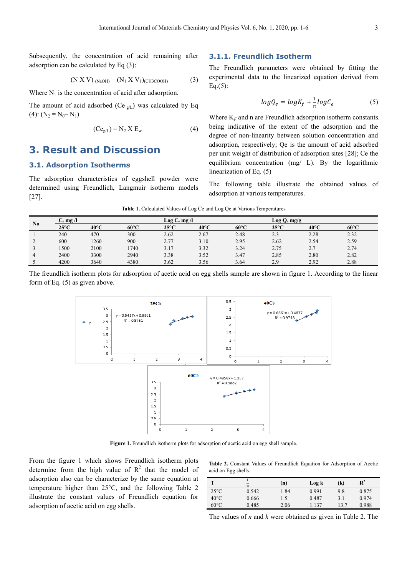Subsequently, the concentration of acid remaining after adsorption can be calculated by Eq (3):

$$
(N X V)_{(NaOH)} = (N_1 X V_1)_{(CH3COOH)} \tag{3}
$$

Where  $N_1$  is the concentration of acid after adsorption.

The amount of acid adsorbed (Ce  $g(L)$ ) was calculated by Eq (4):  $(N_2 = N_0 - N_1)$ 

$$
(\text{Ce}_{g/L}) = N_2 \times E_w \tag{4}
$$

### **3. Result and Discussion**

#### **3.1. Adsorption Isotherms**

The adsorption characteristics of eggshell powder were determined using Freundlich, Langmuir isotherm models [27].

#### **3.1.1. Freundlich Isotherm**

The Freundlich parameters were obtained by fitting the experimental data to the linearized equation derived from  $Eq.(5):$ 

$$
log Q_e = log K_f + \frac{1}{n} log C_e \tag{5}
$$

Where  $K_F$  and n are Freundlich adsorption isotherm constants. being indicative of the extent of the adsorption and the degree of non-linearity between solution concentration and adsorption, respectively; Qe is the amount of acid adsorbed per unit weight of distribution of adsorption sites [28]; Ce the equilibrium concentration (mg/ L). By the logarithmic linearization of Eq. (5)

The following table illustrate the obtained values of adsorption at various temperatures.

Table 1. Calculated Values of Log Ce and Log Qe at Various Temperatures

| No | $C_e$ mg /l    |                |                |                | Log C <sub>e</sub> mg/l |                |                | $Log Q_e mg/g$ |                |  |
|----|----------------|----------------|----------------|----------------|-------------------------|----------------|----------------|----------------|----------------|--|
|    | $25^{\circ}$ C | $40^{\circ}$ C | $60^{\circ}$ C | $25^{\circ}$ C | $40^{\circ}$ C          | $60^{\circ}$ C | $25^{\circ}$ C | 40°C           | $60^{\circ}$ C |  |
|    | 240            | 470            | 300            | 2.62           | 2.67                    | 2.48           | 2.3            | 2.28           | 2.32           |  |
|    | 600            | 1260           | 900            | 2.77           | 3.10                    | 2.95           | 2.62           | 2.54           | 2.59           |  |
|    | 1500           | 2100           | 740            | 3.17           | 3.32                    | 3.24           | 2.75           | 2.7            | 2.74           |  |
|    | 2400           | 3300           | 2940           | 3.38           | 3.52                    | 3.47           | 2.85           | 2.80           | 2.82           |  |
|    | 4200           | 3640           | 4380           | 3.62           | 3.56                    | 3.64           | 2.9            | 2.92           | 2.88           |  |

The freundlich isotherm plots for adsorption of acetic acid on egg shells sample are shown in figure 1. According to the linear form of Eq. (5) as given above.



Figure 1. Freundlich isotherm plots for adsorption of acetic acid on egg shell sample.

From the figure 1 which shows Freundlich isotherm plots determine from the high value of  $R^2$  that the model of adsorption also can be characterize by the same equation at temperature higher than 25°C, and the following Table 2 illustrate the constant values of Freundlich equation for adsorption of acetic acid on egg shells.

| <b>Table 2.</b> Constant Values of Freundlich Equation for Adsorption of Acetic |  |  |  |
|---------------------------------------------------------------------------------|--|--|--|
| acid on Egg shells.                                                             |  |  |  |

| т              | $\overline{\phantom{a}}$ | (n)  | Log k | (k)  | $\mathbb{R}^2$ |
|----------------|--------------------------|------|-------|------|----------------|
| $25^{\circ}$ C | 0.542                    | .84  | 0.991 | 9.8  | 0.875          |
| $40^{\circ}$ C | 0.666                    | 1.5  | 0.487 | 3.1  | 0.974          |
| $60^{\circ}$ C | 0.485                    | 2.06 | .137  | 13.7 | 0.988          |

The values of *n* and *k* were obtained as given in Table 2. The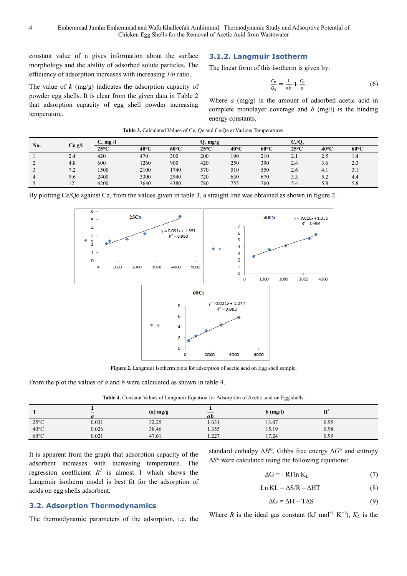constant value of n gives information about the surface morphology and the ability of adsorbed solute particles. The efficiency of adsorption increases with increasing *1/n* ratio.

The value of  $k \text{ (mg/g)}$  indicates the adsorption capacity of powder egg shells. It is clear from the given data in Table 2 that adsorption capacity of egg shell powder increasing temperature.

### **3.1.2. Langmuir Isotherm**

The linear form of this isotherm is given by:

$$
\frac{c_e}{Q_e} = \frac{1}{ab} + \frac{c_e}{a} \tag{6}
$$

Where *a* (mg/g) is the amount of adsorbed acetic acid in complete monolayer coverage and *b* (mg/l) is the binding energy constants.

| No. | Co g/l     | $C_e$ mg /l    |                |                | $Q_e$ mg/g     |                |                | $C_e/Q_e$      |                |                |
|-----|------------|----------------|----------------|----------------|----------------|----------------|----------------|----------------|----------------|----------------|
|     |            | $25^{\circ}$ C | $40^{\circ}$ C | $60^{\circ}$ C | $25^{\circ}$ C | $40^{\circ}$ C | $60^{\circ}$ C | $25^{\circ}$ C | $40^{\circ}$ C | $60^{\circ}$ C |
|     | 2.4        | 420            | 470            | 300            | 200            | 190            | 210            | 2.1            | 2.5            | 1.4            |
|     | 4.8        | 600            | 1260           | 900            | 420            | 250            | 390            | 2.4            | 3.6            | 2.3            |
|     | 7.2        | 1500           | 2100           | 1740           | 570            | 510            | 550            | 2.6            | 4.1            | 3.1            |
|     | 9.6        | 2400           | 3300           | 2940           | 720            | 630            | 670            | 3.3            | 5.2            | 4.4            |
|     | $\sqrt{2}$ | 4200           | 3640           | 4380           | 780            | 755            | 760            | 5.4            | 5.8            | 5.8            |

|  | <b>Table 3.</b> Calculated Values of Ce, Qe and Ce/Qe at Various Temperatures. |
|--|--------------------------------------------------------------------------------|
|  |                                                                                |

By plotting Ce/Qe against Ce, from the values given in table 3, a straight line was obtained as shown in figure 2.



**Figure 2.** Langmuir Isotherm plots for adsorption of acetic acid on Egg shell sample.

From the plot the values of *a* and *b* were calculated as shown in table 4.

**Table 4.** Constant Values of Langmuir Equation for Adsorption of Acetic acid on Egg shells.

| <b>COL</b>     | $\overline{\phantom{a}}$ | $(a)$ mg/g      | ab           | b (mg/l) | D <sup>2</sup><br>┄ |
|----------------|--------------------------|-----------------|--------------|----------|---------------------|
| $25^{\circ}$ C | 0.031                    | 3225<br>ر، ۱۷ د | 1.631        | 13.07    | 0.95                |
| $40^{\circ}$ C | 0.026                    | 38.46           | 1.355        | 15.19    | 0.98                |
| $60^{\circ}$ C | 0.021                    | 47.61           | 227<br>1.441 | 17.24    | 0.99                |

It is apparent from the graph that adsorption capacity of the adsorbent increases with increasing temperature. The regression coefficient  $R^2$  is almost 1 which shows the Langmuir isotherm model is best fit for the adsorption of acids on egg shells adsorbent.

#### **3.2. Adsorption Thermodynamics**

The thermodynamic parameters of the adsorption, i.e. the

standard enthalpy ∆*H*°, Gibbs free energy ∆*G*° and entropy ∆*S*° were calculated using the following equations:

$$
\Delta G = - RT \ln K_{L} \tag{7}
$$

$$
Ln KL = \Delta S/R - \Delta HT
$$
 (8)

$$
\Delta G = \Delta H - T\Delta S \tag{9}
$$

Where *R* is the ideal gas constant (kJ mol<sup>-1</sup> K<sup>-1</sup>),  $K_L$  is the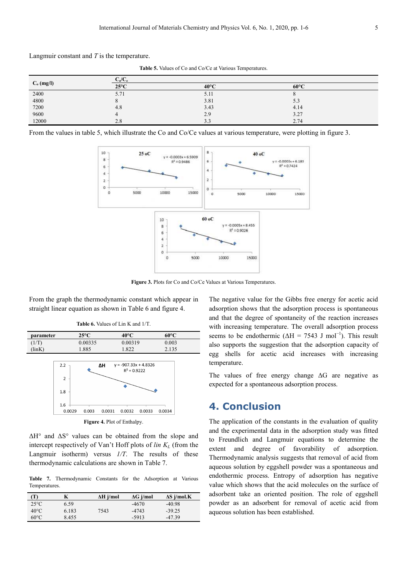Langmuir constant and *T* is the temperature.

**Table 5.** Values of Co and Co/Ce at Various Temperatures.

|                | $\mathsf{C}$ IC<br>$\cup_0 \cup_e$ |                |                |
|----------------|------------------------------------|----------------|----------------|
| $C_{o}$ (mg/l) | $25^{\circ}$ C                     | $40^{\circ}$ C | $60^{\circ}$ C |
| 2400           | 5.71                               | 5.11           |                |
| 4800           |                                    | 3.81           | 5.3            |
| 7200           | 4.8                                | 3.43           | 4.14           |
| 9600           | 4                                  | 2.9            | 3.27           |
| 12000          | 2.8                                | 3.3            | 2.74           |

From the values in table 5, which illustrate the Co and Co/Ce values at various temperature, were plotting in figure 3.



**Figure 3.** Plots for Co and Co/Ce Values at Various Temperatures.

From the graph the thermodynamic constant which appear in straight linear equation as shown in Table 6 and figure 4.

| parameter       |                | $25^{\circ}$ C |                                    | $40^{\circ}$ C |                         | $60^{\circ}$ C |
|-----------------|----------------|----------------|------------------------------------|----------------|-------------------------|----------------|
| (1/T)           |                | 0.00335        |                                    | 0.00319        |                         | 0.003          |
| $(\text{link})$ |                | 1.885          |                                    | 1.822          |                         | 2.135          |
|                 |                |                |                                    |                |                         |                |
|                 | 2.2            |                | ΔН                                 |                | $y = -907.33x + 4.8326$ |                |
|                 |                |                |                                    | $R^2 = 0.9222$ |                         |                |
|                 | $\overline{2}$ |                |                                    |                |                         |                |
|                 |                |                |                                    |                |                         |                |
|                 | 1.8            |                |                                    |                |                         |                |
|                 |                |                |                                    |                |                         |                |
|                 | 1.6            |                |                                    |                |                         |                |
|                 | 0.0029         | 0.003          | 0.0031                             | 0.0032         | 0.0033                  | 0.0034         |
|                 |                |                | <b>Figure 4. Plot of Enthalpy.</b> |                |                         |                |
|                 |                |                |                                    |                |                         |                |

**Table 6.** Values of Lin K and 1/T.

∆H° and ∆S° values can be obtained from the slope and intercept respectively of Van't Hoff plots of *lin K<sup>L</sup>* (from the Langmuir isotherm) versus *1/T*. The results of these thermodynamic calculations are shown in Table 7.

**Table 7.** Thermodynamic Constants for the Adsorption at Various Temperatures.

| T              | K     | $\Delta H$ j/mol | $\Delta G$ j/mol | $\Delta S$ j/mol.K |
|----------------|-------|------------------|------------------|--------------------|
| $25^{\circ}$ C | 6.59  |                  | $-4670$          | $-40.98$           |
| $40^{\circ}$ C | 6.183 | 7543             | $-4743$          | $-39.25$           |
| $60^{\circ}$ C | 8.455 |                  | $-5913$          | $-47.39$           |

The negative value for the Gibbs free energy for acetic acid adsorption shows that the adsorption process is spontaneous and that the degree of spontaneity of the reaction increases with increasing temperature. The overall adsorption process seems to be endothermic ( $\Delta H = 7543$  J mol<sup>-1</sup>). This result also supports the suggestion that the adsorption capacity of egg shells for acetic acid increases with increasing temperature.

The values of free energy change ∆G are negative as expected for a spontaneous adsorption process.

### **4. Conclusion**

The application of the constants in the evaluation of quality and the experimental data in the adsorption study was fitted to Freundlich and Langmuir equations to determine the extent and degree of favorability of adsorption. Thermodynamic analysis suggests that removal of acid from aqueous solution by eggshell powder was a spontaneous and endothermic process. Entropy of adsorption has negative value which shows that the acid molecules on the surface of adsorbent take an oriented position. The role of eggshell powder as an adsorbent for removal of acetic acid from aqueous solution has been established.